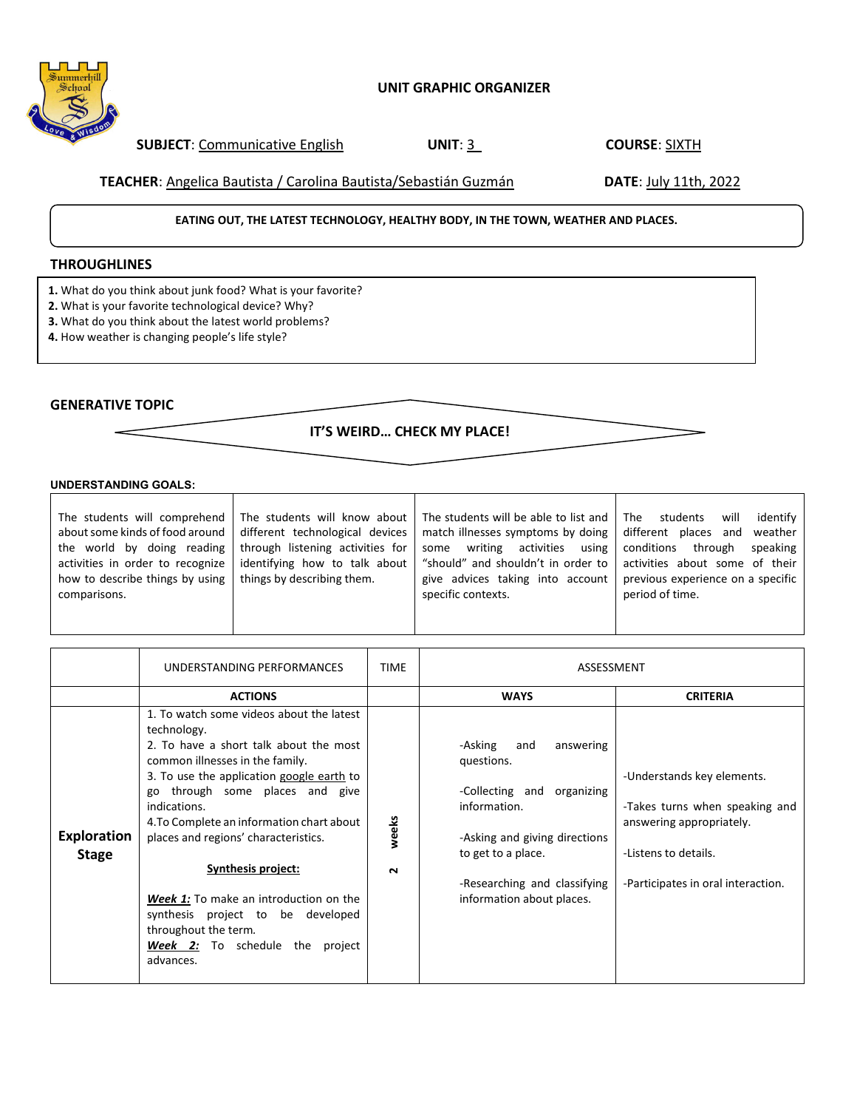### **UNIT GRAPHIC ORGANIZER**

**SUBJECT**: Communicative English **UNIT**: 3 **COURSE**: SIXTH

**TEACHER**: Angelica Bautista / Carolina Bautista/Sebastián Guzmán **DATE**: July 11th, 2022

### **EATING OUT, THE LATEST TECHNOLOGY, HEALTHY BODY, IN THE TOWN, WEATHER AND PLACES.**

## **THROUGHLINES**

- **1.** What do you think about junk food? What is your favorite?
- **2.** What is your favorite technological device? Why?
- **3.** What do you think about the latest world problems?
- **4.** How weather is changing people's life style?

# **GENERATIVE TOPIC**

**IT'S WEIRD… CHECK MY PLACE!**

### **UNDERSTANDING GOALS:**

| The students will comprehend<br>about some kinds of food around<br>the world by doing reading<br>activities in order to recognize<br>how to describe things by using<br>comparisons. | The students will know about<br>different technological devices<br>through listening activities for<br>identifying how to talk about<br>things by describing them. | The students will be able to list and<br>match illnesses symptoms by doing<br>activities<br>using  <br>writing<br>some<br>"should" and shouldn't in order to<br>give advices taking into account<br>specific contexts. | The<br>identify<br>will<br>students<br>different places and<br>weather<br>conditions<br>through<br>speaking<br>activities about some of their<br>previous experience on a specific<br>period of time. |
|--------------------------------------------------------------------------------------------------------------------------------------------------------------------------------------|--------------------------------------------------------------------------------------------------------------------------------------------------------------------|------------------------------------------------------------------------------------------------------------------------------------------------------------------------------------------------------------------------|-------------------------------------------------------------------------------------------------------------------------------------------------------------------------------------------------------|
|                                                                                                                                                                                      |                                                                                                                                                                    |                                                                                                                                                                                                                        |                                                                                                                                                                                                       |

|                                    | UNDERSTANDING PERFORMANCES                                                                                                                                                                                                                                                                                                                                                                                                                                                                                           | <b>TIME</b>     | ASSESSMENT                                                                                                                                                                                                  |                                                                                                                                                        |
|------------------------------------|----------------------------------------------------------------------------------------------------------------------------------------------------------------------------------------------------------------------------------------------------------------------------------------------------------------------------------------------------------------------------------------------------------------------------------------------------------------------------------------------------------------------|-----------------|-------------------------------------------------------------------------------------------------------------------------------------------------------------------------------------------------------------|--------------------------------------------------------------------------------------------------------------------------------------------------------|
|                                    | <b>ACTIONS</b>                                                                                                                                                                                                                                                                                                                                                                                                                                                                                                       |                 | <b>WAYS</b>                                                                                                                                                                                                 | <b>CRITERIA</b>                                                                                                                                        |
| <b>Exploration</b><br><b>Stage</b> | 1. To watch some videos about the latest<br>technology.<br>2. To have a short talk about the most<br>common illnesses in the family.<br>3. To use the application google earth to<br>go through some places and give<br>indications.<br>4. To Complete an information chart about<br>places and regions' characteristics.<br>Synthesis project:<br><b>Week 1:</b> To make an introduction on the<br>synthesis project to be developed<br>throughout the term.<br><b>Week 2:</b> To schedule the project<br>advances. | weeks<br>$\sim$ | -Asking<br>and<br>answering<br>questions.<br>-Collecting and organizing<br>information.<br>-Asking and giving directions<br>to get to a place.<br>-Researching and classifying<br>information about places. | -Understands key elements.<br>-Takes turns when speaking and<br>answering appropriately.<br>-Listens to details.<br>-Participates in oral interaction. |